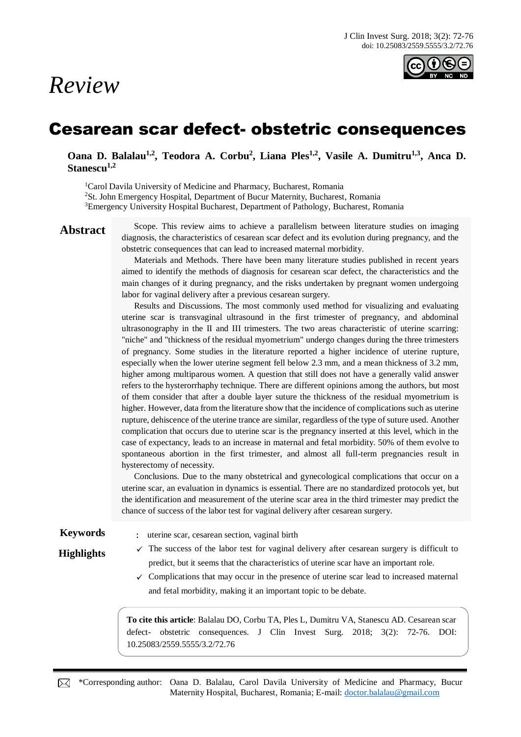# *Review*



## Cesarean scar defect- obstetric consequences

**Oana D. Balalau1,2, Teodora A. Corbu<sup>2</sup> , Liana Ples1,2, Vasile A. Dumitru1,3 , Anca D. Stanescu1,2**

<sup>1</sup>Carol Davila University of Medicine and Pharmacy, Bucharest, Romania <sup>2</sup>St. John Emergency Hospital, Department of Bucur Maternity, Bucharest, Romania <sup>3</sup>Emergency University Hospital Bucharest, Department of Pathology, Bucharest, Romania

Abstract Scope. This review aims to achieve a parallelism between literature studies on imaging diagnosis, the characteristics of cesarean scar defect and its evolution during pregnancy, and the obstetric consequences that can lead to increased maternal morbidity.

> Materials and Methods. There have been many literature studies published in recent years aimed to identify the methods of diagnosis for cesarean scar defect, the characteristics and the main changes of it during pregnancy, and the risks undertaken by pregnant women undergoing labor for vaginal delivery after a previous cesarean surgery.

> Results and Discussions. The most commonly used method for visualizing and evaluating uterine scar is transvaginal ultrasound in the first trimester of pregnancy, and abdominal ultrasonography in the II and III trimesters. The two areas characteristic of uterine scarring: "niche" and "thickness of the residual myometrium" undergo changes during the three trimesters of pregnancy. Some studies in the literature reported a higher incidence of uterine rupture, especially when the lower uterine segment fell below 2.3 mm, and a mean thickness of 3.2 mm, higher among multiparous women. A question that still does not have a generally valid answer refers to the hysterorrhaphy technique. There are different opinions among the authors, but most of them consider that after a double layer suture the thickness of the residual myometrium is higher. However, data from the literature show that the incidence of complications such as uterine rupture, dehiscence of the uterine trance are similar, regardless of the type of suture used. Another complication that occurs due to uterine scar is the pregnancy inserted at this level, which in the case of expectancy, leads to an increase in maternal and fetal morbidity. 50% of them evolve to spontaneous abortion in the first trimester, and almost all full-term pregnancies result in hysterectomy of necessity.

> Conclusions. Due to the many obstetrical and gynecological complications that occur on a uterine scar, an evaluation in dynamics is essential. There are no standardized protocols yet, but the identification and measurement of the uterine scar area in the third trimester may predict the chance of success of the labor test for vaginal delivery after cesarean surgery.

**Keywords** : uterine scar, cesarean section, vaginal birth

- **Highlights**  $\checkmark$  The success of the labor test for vaginal delivery after cesarean surgery is difficult to predict, but it seems that the characteristics of uterine scar have an important role.
	- $\checkmark$  Complications that may occur in the presence of uterine scar lead to increased maternal and fetal morbidity, making it an important topic to be debate.

**To cite this article**: Balalau DO, Corbu TA, Ples L, Dumitru VA, Stanescu AD. Cesarean scar defect- obstetric consequences. J Clin Invest Surg. 2018; 3(2): 72-76. DOI: 10.25083/2559.5555/3.2/72.76

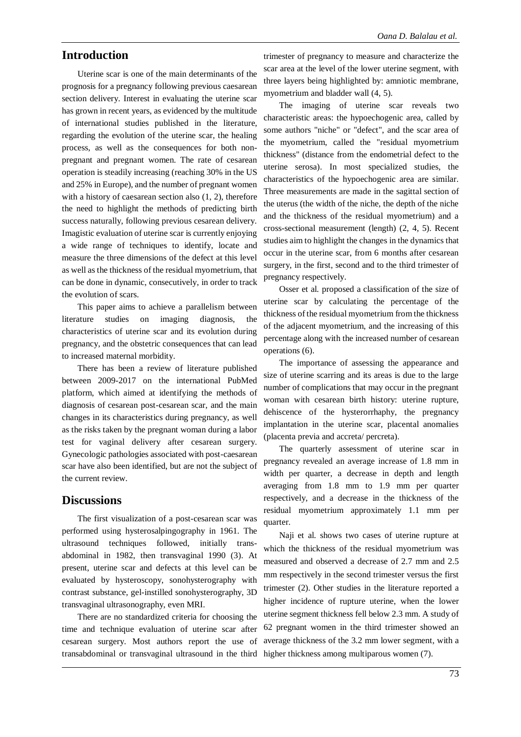#### **Introduction**

Uterine scar is one of the main determinants of the prognosis for a pregnancy following previous caesarean section delivery. Interest in evaluating the uterine scar has grown in recent years, as evidenced by the multitude of international studies published in the literature, regarding the evolution of the uterine scar, the healing process, as well as the consequences for both nonpregnant and pregnant women. The rate of cesarean operation is steadily increasing (reaching 30% in the US and 25% in Europe), and the number of pregnant women with a history of caesarean section also (1, 2), therefore the need to highlight the methods of predicting birth success naturally, following previous cesarean delivery. Imagistic evaluation of uterine scar is currently enjoying a wide range of techniques to identify, locate and measure the three dimensions of the defect at this level as well as the thickness of the residual myometrium, that can be done in dynamic, consecutively, in order to track the evolution of scars.

This paper aims to achieve a parallelism between literature studies on imaging diagnosis, the characteristics of uterine scar and its evolution during pregnancy, and the obstetric consequences that can lead to increased maternal morbidity.

There has been a review of literature published between 2009-2017 on the international PubMed platform, which aimed at identifying the methods of diagnosis of cesarean post-cesarean scar, and the main changes in its characteristics during pregnancy, as well as the risks taken by the pregnant woman during a labor test for vaginal delivery after cesarean surgery. Gynecologic pathologies associated with post-caesarean scar have also been identified, but are not the subject of the current review.

#### **Discussions**

The first visualization of a post-cesarean scar was performed using hysterosalpingography in 1961. The ultrasound techniques followed, initially transabdominal in 1982, then transvaginal 1990 (3). At present, uterine scar and defects at this level can be evaluated by hysteroscopy, sonohysterography with contrast substance, gel-instilled sonohysterography, 3D transvaginal ultrasonography, even MRI.

There are no standardized criteria for choosing the time and technique evaluation of uterine scar after cesarean surgery. Most authors report the use of transabdominal or transvaginal ultrasound in the third higher thickness among multiparous women (7).

trimester of pregnancy to measure and characterize the scar area at the level of the lower uterine segment, with three layers being highlighted by: amniotic membrane, myometrium and bladder wall (4, 5).

The imaging of uterine scar reveals two characteristic areas: the hypoechogenic area, called by some authors "niche" or "defect", and the scar area of the myometrium, called the "residual myometrium thickness" (distance from the endometrial defect to the uterine serosa). In most specialized studies, the characteristics of the hypoechogenic area are similar. Three measurements are made in the sagittal section of the uterus (the width of the niche, the depth of the niche and the thickness of the residual myometrium) and a cross-sectional measurement (length) (2, 4, 5). Recent studies aim to highlight the changes in the dynamics that occur in the uterine scar, from 6 months after cesarean surgery, in the first, second and to the third trimester of pregnancy respectively.

Osser et al. proposed a classification of the size of uterine scar by calculating the percentage of the thickness of the residual myometrium from the thickness of the adjacent myometrium, and the increasing of this percentage along with the increased number of cesarean operations (6).

The importance of assessing the appearance and size of uterine scarring and its areas is due to the large number of complications that may occur in the pregnant woman with cesarean birth history: uterine rupture, dehiscence of the hysterorrhaphy, the pregnancy implantation in the uterine scar, placental anomalies (placenta previa and accreta/ percreta).

The quarterly assessment of uterine scar in pregnancy revealed an average increase of 1.8 mm in width per quarter, a decrease in depth and length averaging from 1.8 mm to 1.9 mm per quarter respectively, and a decrease in the thickness of the residual myometrium approximately 1.1 mm per quarter.

Naji et al. shows two cases of uterine rupture at which the thickness of the residual myometrium was measured and observed a decrease of 2.7 mm and 2.5 mm respectively in the second trimester versus the first trimester (2). Other studies in the literature reported a higher incidence of rupture uterine, when the lower uterine segment thickness fell below 2.3 mm. A study of 62 pregnant women in the third trimester showed an average thickness of the 3.2 mm lower segment, with a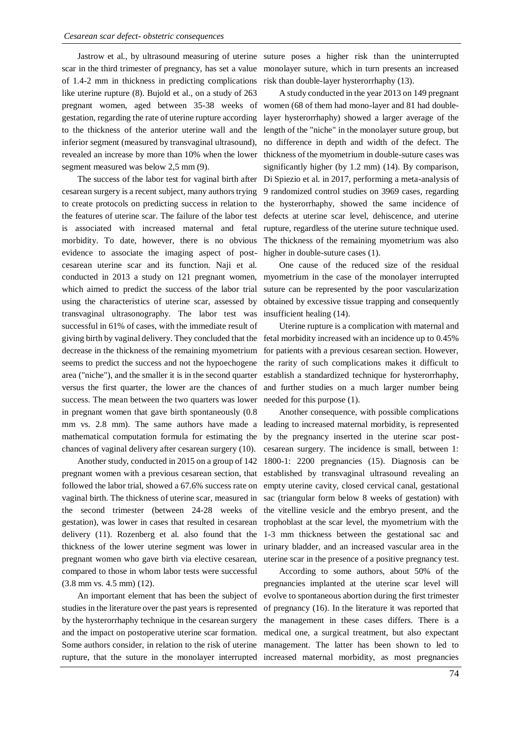Jastrow et al., by ultrasound measuring of uterine scar in the third trimester of pregnancy, has set a value of 1.4-2 mm in thickness in predicting complications like uterine rupture (8). Bujold et al., on a study of 263 gestation, regarding the rate of uterine rupture according to the thickness of the anterior uterine wall and the inferior segment (measured by transvaginal ultrasound), revealed an increase by more than 10% when the lower segment measured was below 2,5 mm (9).

The success of the labor test for vaginal birth after cesarean surgery is a recent subject, many authors trying to create protocols on predicting success in relation to the features of uterine scar. The failure of the labor test is associated with increased maternal and fetal morbidity. To date, however, there is no obvious evidence to associate the imaging aspect of postcesarean uterine scar and its function. Naji et al. conducted in 2013 a study on 121 pregnant women, which aimed to predict the success of the labor trial using the characteristics of uterine scar, assessed by transvaginal ultrasonography. The labor test was successful in 61% of cases, with the immediate result of giving birth by vaginal delivery. They concluded that the decrease in the thickness of the remaining myometrium seems to predict the success and not the hypoechogene area ("niche"), and the smaller it is in the second quarter versus the first quarter, the lower are the chances of success. The mean between the two quarters was lower in pregnant women that gave birth spontaneously (0.8 mm vs. 2.8 mm). The same authors have made a mathematical computation formula for estimating the chances of vaginal delivery after cesarean surgery (10).

Another study, conducted in 2015 on a group of 142 pregnant women with a previous cesarean section, that followed the labor trial, showed a 67.6% success rate on vaginal birth. The thickness of uterine scar, measured in the second trimester (between 24-28 weeks of gestation), was lower in cases that resulted in cesarean delivery (11). Rozenberg et al. also found that the thickness of the lower uterine segment was lower in pregnant women who gave birth via elective cesarean, compared to those in whom labor tests were successful (3.8 mm vs. 4.5 mm) (12).

An important element that has been the subject of studies in the literature over the past years is represented by the hysterorrhaphy technique in the cesarean surgery and the impact on postoperative uterine scar formation. Some authors consider, in relation to the risk of uterine rupture, that the suture in the monolayer interrupted increased maternal morbidity, as most pregnancies

suture poses a higher risk than the uninterrupted monolayer suture, which in turn presents an increased risk than double-layer hysterorrhaphy (13).

pregnant women, aged between 35-38 weeks of women (68 of them had mono-layer and 81 had double-A study conducted in the year 2013 on 149 pregnant layer hysterorrhaphy) showed a larger average of the length of the "niche" in the monolayer suture group, but no difference in depth and width of the defect. The thickness of the myometrium in double-suture cases was significantly higher (by 1.2 mm) (14). By comparison, Di Spiezio et al. in 2017, performing a meta-analysis of 9 randomized control studies on 3969 cases, regarding the hysterorrhaphy, showed the same incidence of defects at uterine scar level, dehiscence, and uterine rupture, regardless of the uterine suture technique used. The thickness of the remaining myometrium was also higher in double-suture cases (1).

> One cause of the reduced size of the residual myometrium in the case of the monolayer interrupted suture can be represented by the poor vascularization obtained by excessive tissue trapping and consequently insufficient healing (14).

> Uterine rupture is a complication with maternal and fetal morbidity increased with an incidence up to 0.45% for patients with a previous cesarean section. However, the rarity of such complications makes it difficult to establish a standardized technique for hysterorrhaphy, and further studies on a much larger number being needed for this purpose (1).

> Another consequence, with possible complications leading to increased maternal morbidity, is represented by the pregnancy inserted in the uterine scar postcesarean surgery. The incidence is small, between 1: 1800-1: 2200 pregnancies (15). Diagnosis can be established by transvaginal ultrasound revealing an empty uterine cavity, closed cervical canal, gestational sac (triangular form below 8 weeks of gestation) with the vitelline vesicle and the embryo present, and the trophoblast at the scar level, the myometrium with the 1-3 mm thickness between the gestational sac and urinary bladder, and an increased vascular area in the uterine scar in the presence of a positive pregnancy test.

> According to some authors, about 50% of the pregnancies implanted at the uterine scar level will evolve to spontaneous abortion during the first trimester of pregnancy (16). In the literature it was reported that the management in these cases differs. There is a medical one, a surgical treatment, but also expectant management. The latter has been shown to led to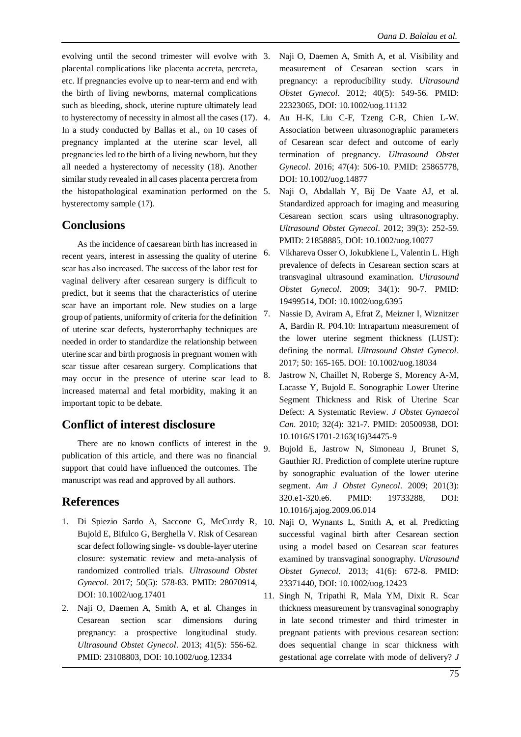evolving until the second trimester will evolve with 3. placental complications like placenta accreta, percreta, etc. If pregnancies evolve up to near-term and end with the birth of living newborns, maternal complications such as bleeding, shock, uterine rupture ultimately lead to hysterectomy of necessity in almost all the cases (17). In a study conducted by Ballas et al., on 10 cases of pregnancy implanted at the uterine scar level, all pregnancies led to the birth of a living newborn, but they all needed a hysterectomy of necessity (18). Another similar study revealed in all cases placenta percreta from the histopathological examination performed on the hysterectomy sample (17).

### **Conclusions**

As the incidence of caesarean birth has increased in recent years, interest in assessing the quality of uterine scar has also increased. The success of the labor test for vaginal delivery after cesarean surgery is difficult to predict, but it seems that the characteristics of uterine scar have an important role. New studies on a large group of patients, uniformity of criteria for the definition of uterine scar defects, hysterorrhaphy techniques are needed in order to standardize the relationship between uterine scar and birth prognosis in pregnant women with scar tissue after cesarean surgery. Complications that may occur in the presence of uterine scar lead to increased maternal and fetal morbidity, making it an important topic to be debate.

#### **Conflict of interest disclosure**

There are no known conflicts of interest in the publication of this article, and there was no financial support that could have influenced the outcomes. The manuscript was read and approved by all authors.

### **References**

- 1. Di Spiezio Sardo A, Saccone G, McCurdy R, 10. Naji O, Wynants L, Smith A, et al. Predicting Bujold E, Bifulco G, Berghella V. Risk of Cesarean scar defect following single- vs double-layer uterine closure: systematic review and meta-analysis of randomized controlled trials. *Ultrasound Obstet Gynecol*. 2017; 50(5): 578-83. PMID: 28070914, DOI: 10.1002/uog.17401
- 2. Naji O, Daemen A, Smith A, et al. Changes in Cesarean section scar dimensions during pregnancy: a prospective longitudinal study. *Ultrasound Obstet Gynecol*. 2013; 41(5): 556-62. PMID: 23108803, DOI: 10.1002/uog.12334
- 3. Naji O, Daemen A, Smith A, et al. Visibility and measurement of Cesarean section scars in pregnancy: a reproducibility study. *Ultrasound Obstet Gynecol*. 2012; 40(5): 549-56. PMID: 22323065, DOI: 10.1002/uog.11132
- 4. Au H-K, Liu C-F, Tzeng C-R, Chien L-W. Association between ultrasonographic parameters of Cesarean scar defect and outcome of early termination of pregnancy. *Ultrasound Obstet Gynecol*. 2016; 47(4): 506-10. PMID: 25865778, DOI: 10.1002/uog.14877
- 5. Naji O, Abdallah Y, Bij De Vaate AJ, et al. Standardized approach for imaging and measuring Cesarean section scars using ultrasonography. *Ultrasound Obstet Gynecol*. 2012; 39(3): 252-59. PMID: 21858885, DOI: 10.1002/uog.10077
- 6. Vikhareva Osser O, Jokubkiene L, Valentin L. High prevalence of defects in Cesarean section scars at transvaginal ultrasound examination. *Ultrasound Obstet Gynecol*. 2009; 34(1): 90-7. PMID: 19499514, DOI: 10.1002/uog.6395
- 7. Nassie D, Aviram A, Efrat Z, Meizner I, Wiznitzer A, Bardin R. P04.10: Intrapartum measurement of the lower uterine segment thickness (LUST): defining the normal. *Ultrasound Obstet Gynecol*. 2017; 50: 165-165. DOI: 10.1002/uog.18034
- 8. Jastrow N, Chaillet N, Roberge S, Morency A-M, Lacasse Y, Bujold E. Sonographic Lower Uterine Segment Thickness and Risk of Uterine Scar Defect: A Systematic Review. *J Obstet Gynaecol Can*. 2010; 32(4): 321-7. PMID: 20500938, DOI: 10.1016/S1701-2163(16)34475-9
- 9. Bujold E, Jastrow N, Simoneau J, Brunet S, Gauthier RJ. Prediction of complete uterine rupture by sonographic evaluation of the lower uterine segment. *Am J Obstet Gynecol*. 2009; 201(3): 320.e1-320.e6. PMID: 19733288, DOI: 10.1016/j.ajog.2009.06.014
- successful vaginal birth after Cesarean section using a model based on Cesarean scar features examined by transvaginal sonography. *Ultrasound Obstet Gynecol*. 2013; 41(6): 672-8. PMID: 23371440, DOI: 10.1002/uog.12423
- 11. Singh N, Tripathi R, Mala YM, Dixit R. Scar thickness measurement by transvaginal sonography in late second trimester and third trimester in pregnant patients with previous cesarean section: does sequential change in scar thickness with gestational age correlate with mode of delivery? *J*